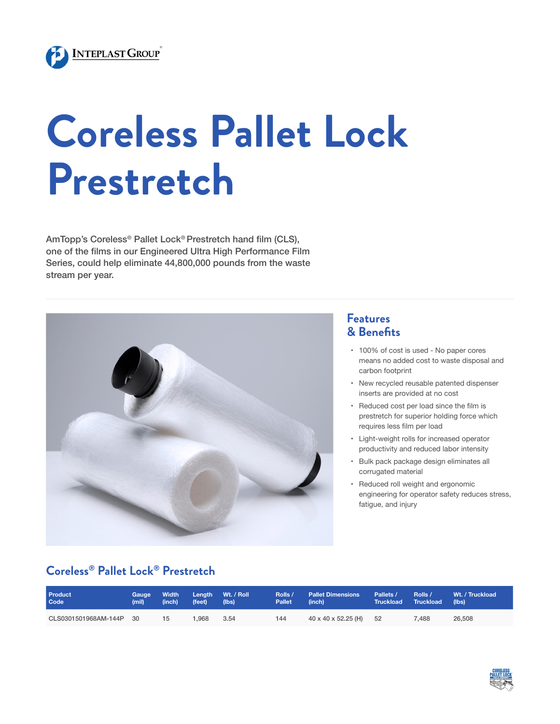

# **Coreless Pallet Lock Prestretch**

AmTopp's Coreless® Pallet Lock® Prestretch hand film (CLS), one of the films in our Engineered Ultra High Performance Film Series, could help eliminate 44,800,000 pounds from the waste stream per year.



## **Features & Benefits**

- • 100% of cost is used No paper cores means no added cost to waste disposal and carbon footprint
- • New recycled reusable patented dispenser inserts are provided at no cost
- Reduced cost per load since the film is prestretch for superior holding force which requires less film per load
- • Light-weight rolls for increased operator productivity and reduced labor intensity
- • Bulk pack package design eliminates all corrugated material
- • Reduced roll weight and ergonomic engineering for operator safety reduces stress, fatigue, and injury

# **Coreless® Pallet Lock® Prestretch**

| <b>Product</b>          | Gauge | Width <sup>1</sup> | Lenath | Wt. / Roll | Rolls /       | $\blacksquare$ Pallet Dimensions $\blacksquare$ | Pallets /           | Rolls / | Wt. / Truckload |
|-------------------------|-------|--------------------|--------|------------|---------------|-------------------------------------------------|---------------------|---------|-----------------|
| Code                    | (mil) | (inch)             | (feet) | (Ibs)      | <b>Pallet</b> | (inch)                                          | Truckload Truckload |         | (lbs)           |
| CLS0301501968AM-144P 30 |       | 15                 | 1.968  | 3.54       | 144           | $40 \times 40 \times 52.25$ (H)                 | 52                  | 7.488   | 26,508          |